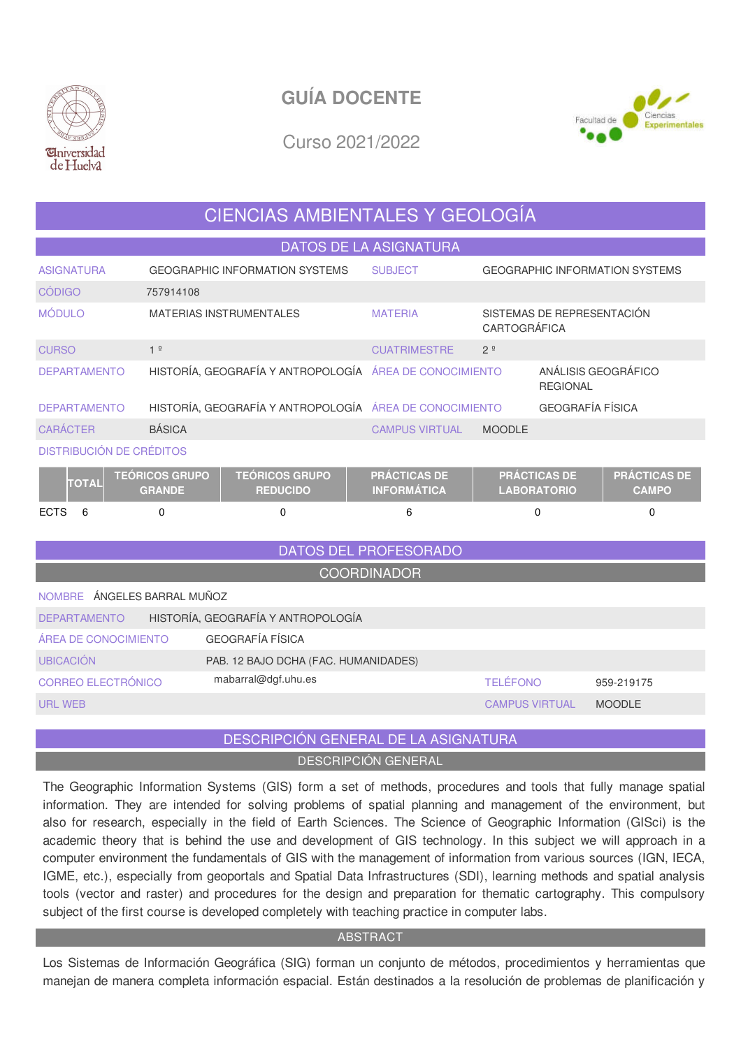



Curso 2021/2022

## CIENCIAS AMBIENTALES Y GEOLOGÍA

DATOS DE LA ASIGNATURA

| <b>ASIGNATURA</b>                                                                                                                                                                      | <b>GEOGRAPHIC INFORMATION SYSTEMS</b>                   | <b>SUBJECT</b>        |                | <b>GEOGRAPHIC INFORMATION SYSTEMS</b>  |  |  |  |  |
|----------------------------------------------------------------------------------------------------------------------------------------------------------------------------------------|---------------------------------------------------------|-----------------------|----------------|----------------------------------------|--|--|--|--|
| <b>CÓDIGO</b>                                                                                                                                                                          | 757914108                                               |                       |                |                                        |  |  |  |  |
| <b>MÓDULO</b>                                                                                                                                                                          | <b>MATERIAS INSTRUMENTALES</b>                          | <b>MATERIA</b>        | CARTOGRÁFICA   | SISTEMAS DE REPRESENTACIÓN             |  |  |  |  |
| <b>CURSO</b>                                                                                                                                                                           | 1 <sup>°</sup>                                          | <b>CUATRIMESTRE</b>   | 2 <sup>o</sup> |                                        |  |  |  |  |
| <b>DEPARTAMENTO</b>                                                                                                                                                                    | HISTORÍA, GEOGRAFÍA Y ANTROPOLOGÍA ÁREA DE CONOCIMIENTO |                       |                | ANÁLISIS GEOGRÁFICO<br><b>REGIONAL</b> |  |  |  |  |
| <b>DEPARTAMENTO</b>                                                                                                                                                                    | HISTORÍA, GEOGRAFÍA Y ANTROPOLOGÍA ÁREA DE CONOCIMIENTO |                       |                | <b>GEOGRAFÍA FÍSICA</b>                |  |  |  |  |
| <b>CARÁCTER</b>                                                                                                                                                                        | <b>BÁSICA</b>                                           | <b>CAMPUS VIRTUAL</b> | <b>MOODLE</b>  |                                        |  |  |  |  |
| <b>DISTRIBUCIÓN DE CRÉDITOS</b><br>the control of the control of the<br><b>Contract Contract Contract</b><br><b>Contract Contract</b><br><b>Contract Contract</b><br><b>STATISTICS</b> |                                                         |                       |                |                                        |  |  |  |  |

|             | <b>TOTAL</b> | <b>TEÓRICOS GRUPO</b><br><b>GRANDE</b> | <b>TEÓRICOS GRUPO</b><br><b>REDUCIDO</b> | <b>PRÁCTICAS DE V</b><br><b>INFORMATICA</b> | <b>I PRÁCTICAS DE !</b><br><b>LABORATORIO</b> | <b>PRÁCTICAS DE</b><br><b>CAMPO</b> |
|-------------|--------------|----------------------------------------|------------------------------------------|---------------------------------------------|-----------------------------------------------|-------------------------------------|
| <b>ECTS</b> |              |                                        |                                          |                                             |                                               |                                     |

# DATOS DEL PROFESORADO

|  | <b>COORDINADOR</b> |
|--|--------------------|
|  |                    |

| NOMBRE ÁNGELES BARRAL MUÑOZ |                                      |                       |               |  |  |  |  |  |  |
|-----------------------------|--------------------------------------|-----------------------|---------------|--|--|--|--|--|--|
| <b>DEPARTAMENTO</b>         | HISTORÍA, GEOGRAFÍA Y ANTROPOLOGÍA   |                       |               |  |  |  |  |  |  |
| ÁREA DE CONOCIMIENTO        | GEOGRAFÍA FÍSICA                     |                       |               |  |  |  |  |  |  |
| <b>UBICACIÓN</b>            | PAB. 12 BAJO DCHA (FAC. HUMANIDADES) |                       |               |  |  |  |  |  |  |
| CORREO ELECTRÓNICO          | mabarral@dgf.uhu.es                  | <b>TELÉFONO</b>       | 959-219175    |  |  |  |  |  |  |
| URL WEB                     |                                      | <b>CAMPUS VIRTUAL</b> | <b>MOODLE</b> |  |  |  |  |  |  |

## DESCRIPCIÓN GENERAL DE LA ASIGNATURA DESCRIPCIÓN GENERAL

The Geographic Information Systems (GIS) form a set of methods, procedures and tools that fully manage spatial information. They are intended for solving problems of spatial planning and management of the environment, but also for research, especially in the field of Earth Sciences. The Science of Geographic Information (GISci) is the academic theory that is behind the use and development of GIS technology. In this subject we will approach in a computer environment the fundamentals of GIS with the management of information from various sources (IGN, IECA, IGME, etc.), especially from geoportals and Spatial Data Infrastructures (SDI), learning methods and spatial analysis tools (vector and raster) and procedures for the design and preparation for thematic cartography. This compulsory subject of the first course is developed completely with teaching practice in computer labs.

## ABSTRACT

Los Sistemas de Información Geográfica (SIG) forman un conjunto de métodos, procedimientos y herramientas que manejan de manera completa información espacial. Están destinados a la resolución de problemas de planificación y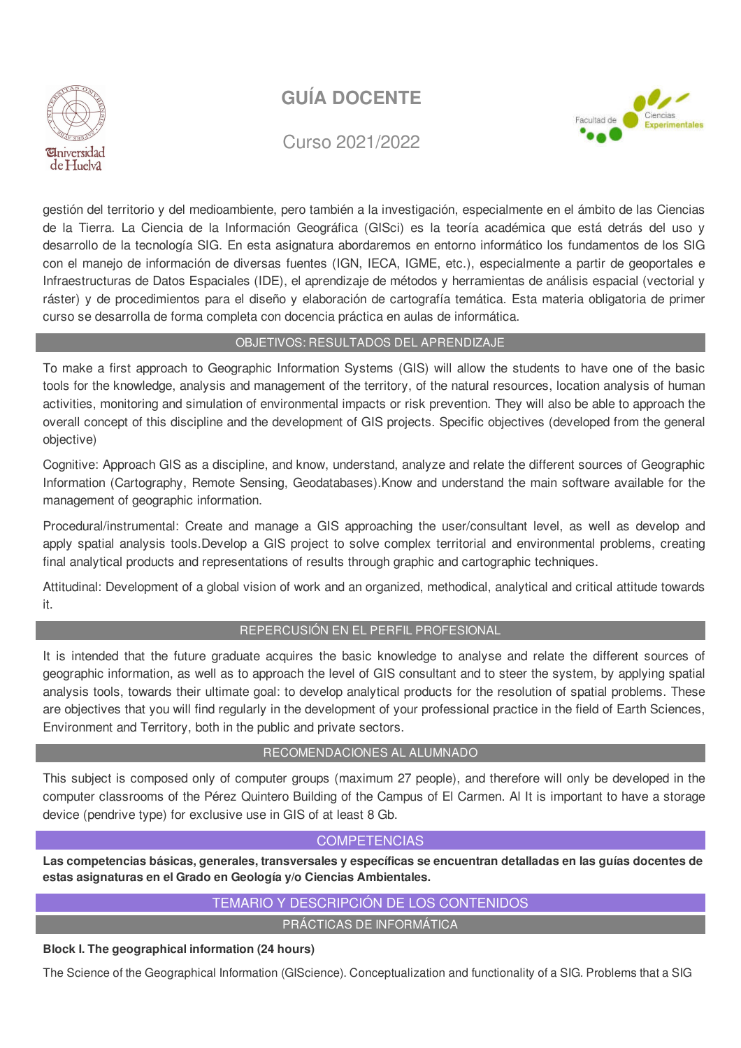

Curso 2021/2022



gestión del territorio y del medioambiente, pero también a la investigación, especialmente en el ámbito de las Ciencias de la Tierra. La Ciencia de la Información Geográfica (GISci) es la teoría académica que está detrás del uso y desarrollo de la tecnología SIG. En esta asignatura abordaremos en entorno informático los fundamentos de los SIG con el manejo de información de diversas fuentes (IGN, IECA, IGME, etc.), especialmente a partir de geoportales e Infraestructuras de Datos Espaciales (IDE), el aprendizaje de métodos y herramientas de análisis espacial (vectorial y ráster) y de procedimientos para el diseño y elaboración de cartografía temática. Esta materia obligatoria de primer curso se desarrolla de forma completa con docencia práctica en aulas de informática.

## OBJETIVOS: RESULTADOS DEL APRENDIZAJE

To make a first approach to Geographic Information Systems (GIS) will allow the students to have one of the basic tools for the knowledge, analysis and management of the territory, of the natural resources, location analysis of human activities, monitoring and simulation of environmental impacts or risk prevention. They will also be able to approach the overall concept of this discipline and the development of GIS projects. Specific objectives (developed from the general objective)

Cognitive: Approach GIS as a discipline, and know, understand, analyze and relate the different sources of Geographic Information (Cartography, Remote Sensing, Geodatabases).Know and understand the main software available for the management of geographic information.

Procedural/instrumental: Create and manage a GIS approaching the user/consultant level, as well as develop and apply spatial analysis tools.Develop a GIS project to solve complex territorial and environmental problems, creating final analytical products and representations of results through graphic and cartographic techniques.

Attitudinal: Development of a global vision of work and an organized, methodical, analytical and critical attitude towards it.

## REPERCUSIÓN EN EL PERFIL PROFESIONAL

It is intended that the future graduate acquires the basic knowledge to analyse and relate the different sources of geographic information, as well as to approach the level of GIS consultant and to steer the system, by applying spatial analysis tools, towards their ultimate goal: to develop analytical products for the resolution of spatial problems. These are objectives that you will find regularly in the development of your professional practice in the field of Earth Sciences, Environment and Territory, both in the public and private sectors.

## RECOMENDACIONES AL ALUMNADO

This subject is composed only of computer groups (maximum 27 people), and therefore will only be developed in the computer classrooms of the Pérez Quintero Building of the Campus of El Carmen. Al It is important to have a storage device (pendrive type) for exclusive use in GIS of at least 8 Gb.

## **COMPETENCIAS**

**Las competencias básicas, generales, transversales y específicas se encuentran detalladas en las guías docentes de estas asignaturas en el Grado en Geología y/o Ciencias Ambientales.**

## TEMARIO Y DESCRIPCIÓN DE LOS CONTENIDOS

PRÁCTICAS DE INFORMÁTICA

## **Block I. The geographical information (24 hours)**

The Science of the Geographical Information (GIScience). Conceptualization and functionality of a SIG. Problems that a SIG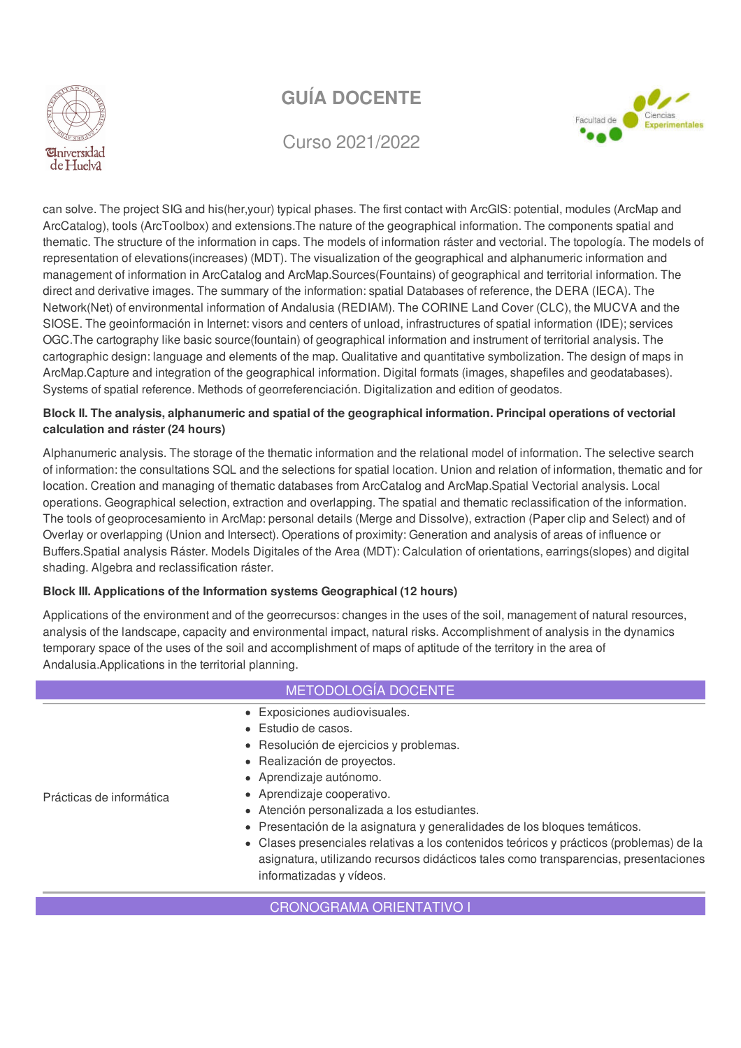

Curso 2021/2022



can solve. The project SIG and his(her,your) typical phases. The first contact with ArcGIS: potential, modules (ArcMap and ArcCatalog), tools (ArcToolbox) and extensions.The nature of the geographical information. The components spatial and thematic. The structure of the information in caps. The models of information ráster and vectorial. The topología. The models of representation of elevations(increases) (MDT). The visualization of the geographical and alphanumeric information and management of information in ArcCatalog and ArcMap.Sources(Fountains) of geographical and territorial information. The direct and derivative images. The summary of the information: spatial Databases of reference, the DERA (IECA). The Network(Net) of environmental information of Andalusia (REDIAM). The CORINE Land Cover (CLC), the MUCVA and the SIOSE. The geoinformación in Internet: visors and centers of unload, infrastructures of spatial information (IDE); services OGC.The cartography like basic source(fountain) of geographical information and instrument of territorial analysis. The cartographic design: language and elements of the map. Qualitative and quantitative symbolization. The design of maps in ArcMap.Capture and integration of the geographical information. Digital formats (images, shapefiles and geodatabases). Systems of spatial reference. Methods of georreferenciación. Digitalization and edition of geodatos.

## **Block II. The analysis, alphanumeric and spatial of the geographical information. Principal operations of vectorial calculation and ráster (24 hours)**

Alphanumeric analysis. The storage of the thematic information and the relational model of information. The selective search of information: the consultations SQL and the selections for spatial location. Union and relation of information, thematic and for location. Creation and managing of thematic databases from ArcCatalog and ArcMap.Spatial Vectorial analysis. Local operations. Geographical selection, extraction and overlapping. The spatial and thematic reclassification of the information. The tools of geoprocesamiento in ArcMap: personal details (Merge and Dissolve), extraction (Paper clip and Select) and of Overlay or overlapping (Union and Intersect). Operations of proximity: Generation and analysis of areas of influence or Buffers.Spatial analysis Ráster. Models Digitales of the Area (MDT): Calculation of orientations, earrings(slopes) and digital shading. Algebra and reclassification ráster.

## **Block III. Applications of the Information systems Geographical (12 hours)**

Applications of the environment and of the georrecursos: changes in the uses of the soil, management of natural resources, analysis of the landscape, capacity and environmental impact, natural risks. Accomplishment of analysis in the dynamics temporary space of the uses of the soil and accomplishment of maps of aptitude of the territory in the area of Andalusia.Applications in the territorial planning.

## METODOLOGÍA DOCENTE

- Exposiciones audiovisuales.
- Estudio de casos.
- Resolución de ejercicios y problemas.
- Realización de provectos.
- Aprendizaje autónomo.
- Aprendizaje cooperativo.
- Atención personalizada a los estudiantes.
- Presentación de la asignatura y generalidades de los bloques temáticos.
- Clases presenciales relativas a los contenidos teóricos y prácticos (problemas) de la asignatura, utilizando recursos didácticos tales como transparencias, presentaciones informatizadas y vídeos.

CRONOGRAMA ORIENTATIVO I

Prácticas de informática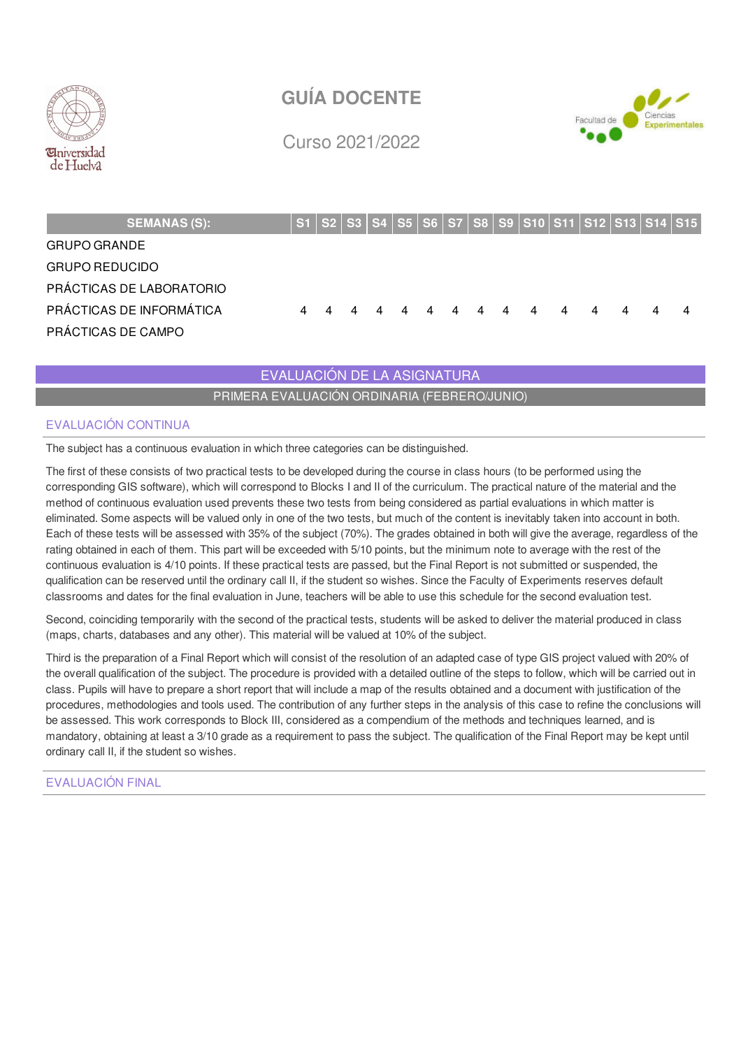



Curso 2021/2022

| <b>SEMANAS (S):</b>      |  |  |   |             |                |    |                |                |   |   | S1   S2   S3   S4   S5   S6   S7   S8   S9   S10   S11   S12   S13   S14   S15 |
|--------------------------|--|--|---|-------------|----------------|----|----------------|----------------|---|---|--------------------------------------------------------------------------------|
| <b>GRUPO GRANDE</b>      |  |  |   |             |                |    |                |                |   |   |                                                                                |
| <b>GRUPO REDUCIDO</b>    |  |  |   |             |                |    |                |                |   |   |                                                                                |
| PRÁCTICAS DE LABORATORIO |  |  |   |             |                |    |                |                |   |   |                                                                                |
| PRÁCTICAS DE INFORMÁTICA |  |  | 4 | $\mathbf 4$ | $\overline{4}$ | 44 | $\overline{4}$ | $\overline{4}$ | 4 | 4 | 4                                                                              |
| PRÁCTICAS DE CAMPO       |  |  |   |             |                |    |                |                |   |   |                                                                                |

EVALUACIÓN DE LA ASIGNATURA

PRIMERA EVALUACIÓN ORDINARIA (FEBRERO/JUNIO)

## EVALUACIÓN CONTINUA

The subject has a continuous evaluation in which three categories can be distinguished.

The first of these consists of two practical tests to be developed during the course in class hours (to be performed using the corresponding GIS software), which will correspond to Blocks I and II of the curriculum. The practical nature of the material and the method of continuous evaluation used prevents these two tests from being considered as partial evaluations in which matter is eliminated. Some aspects will be valued only in one of the two tests, but much of the content is inevitably taken into account in both. Each of these tests will be assessed with 35% of the subject (70%). The grades obtained in both will give the average, regardless of the rating obtained in each of them. This part will be exceeded with 5/10 points, but the minimum note to average with the rest of the continuous evaluation is 4/10 points. If these practical tests are passed, but the Final Report is not submitted or suspended, the qualification can be reserved until the ordinary call II, if the student so wishes. Since the Faculty of Experiments reserves default classrooms and dates for the final evaluation in June, teachers will be able to use this schedule for the second evaluation test.

Second, coinciding temporarily with the second of the practical tests, students will be asked to deliver the material produced in class (maps, charts, databases and any other). This material will be valued at 10% of the subject.

Third is the preparation of a Final Report which will consist of the resolution of an adapted case of type GIS project valued with 20% of the overall qualification of the subject. The procedure is provided with a detailed outline of the steps to follow, which will be carried out in class. Pupils will have to prepare a short report that will include a map of the results obtained and a document with justification of the procedures, methodologies and tools used. The contribution of any further steps in the analysis of this case to refine the conclusions will be assessed. This work corresponds to Block III, considered as a compendium of the methods and techniques learned, and is mandatory, obtaining at least a 3/10 grade as a requirement to pass the subject. The qualification of the Final Report may be kept until ordinary call II, if the student so wishes.

EVALUACIÓN FINAL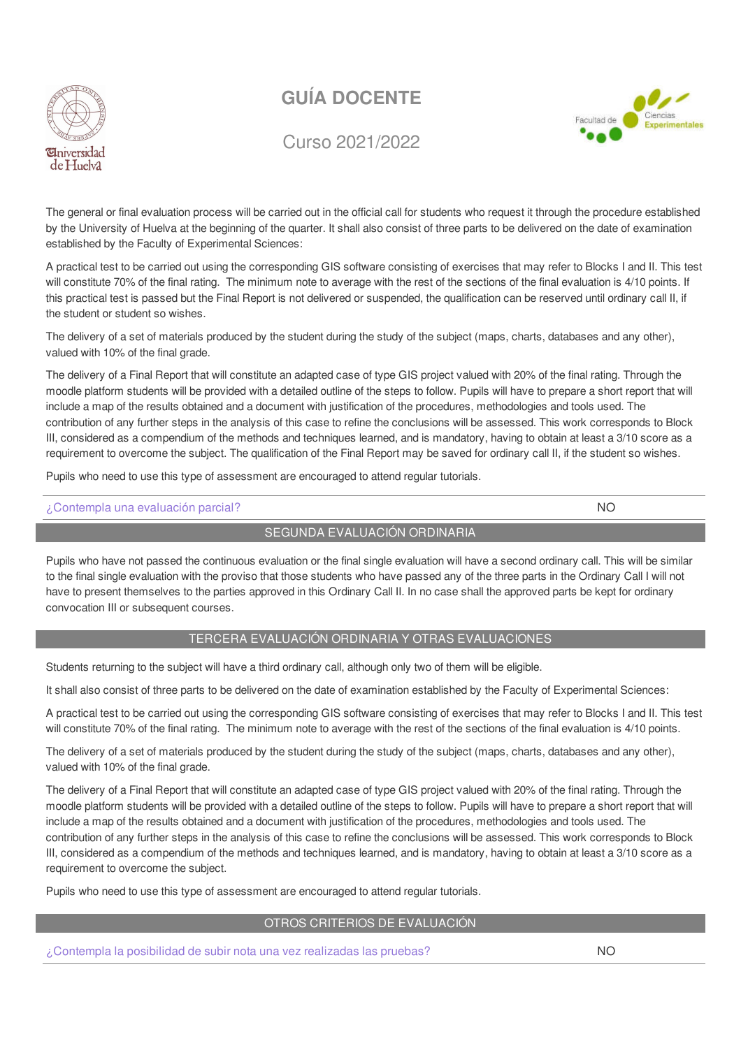



## Curso 2021/2022

The general or final evaluation process will be carried out in the official call for students who request it through the procedure established by the University of Huelva at the beginning of the quarter. It shall also consist of three parts to be delivered on the date of examination established by the Faculty of Experimental Sciences:

A practical test to be carried out using the corresponding GIS software consisting of exercises that may refer to Blocks I and II. This test will constitute 70% of the final rating. The minimum note to average with the rest of the sections of the final evaluation is 4/10 points. If this practical test is passed but the Final Report is not delivered or suspended, the qualification can be reserved until ordinary call II, if the student or student so wishes.

The delivery of a set of materials produced by the student during the study of the subject (maps, charts, databases and any other), valued with 10% of the final grade.

The delivery of a Final Report that will constitute an adapted case of type GIS project valued with 20% of the final rating. Through the moodle platform students will be provided with a detailed outline of the steps to follow. Pupils will have to prepare a short report that will include a map of the results obtained and a document with justification of the procedures, methodologies and tools used. The contribution of any further steps in the analysis of this case to refine the conclusions will be assessed. This work corresponds to Block III, considered as a compendium of the methods and techniques learned, and is mandatory, having to obtain at least a 3/10 score as a requirement to overcome the subject. The qualification of the Final Report may be saved for ordinary call II, if the student so wishes.

Pupils who need to use this type of assessment are encouraged to attend regular tutorials.

## ¿Contempla una evaluación parcial? NO

## SEGUNDA EVALUACIÓN ORDINARIA

Pupils who have not passed the continuous evaluation or the final single evaluation will have a second ordinary call. This will be similar to the final single evaluation with the proviso that those students who have passed any of the three parts in the Ordinary Call I will not have to present themselves to the parties approved in this Ordinary Call II. In no case shall the approved parts be kept for ordinary convocation III or subsequent courses.

## TERCERA EVALUACIÓN ORDINARIA Y OTRAS EVALUACIONES

Students returning to the subject will have a third ordinary call, although only two of them will be eligible.

It shall also consist of three parts to be delivered on the date of examination established by the Faculty of Experimental Sciences:

A practical test to be carried out using the corresponding GIS software consisting of exercises that may refer to Blocks I and II. This test will constitute 70% of the final rating. The minimum note to average with the rest of the sections of the final evaluation is 4/10 points.

The delivery of a set of materials produced by the student during the study of the subject (maps, charts, databases and any other), valued with 10% of the final grade.

The delivery of a Final Report that will constitute an adapted case of type GIS project valued with 20% of the final rating. Through the moodle platform students will be provided with a detailed outline of the steps to follow. Pupils will have to prepare a short report that will include a map of the results obtained and a document with justification of the procedures, methodologies and tools used. The contribution of any further steps in the analysis of this case to refine the conclusions will be assessed. This work corresponds to Block III, considered as a compendium of the methods and techniques learned, and is mandatory, having to obtain at least a 3/10 score as a requirement to overcome the subject.

Pupils who need to use this type of assessment are encouraged to attend regular tutorials.

## OTROS CRITERIOS DE EVALUACIÓN

¿Contempla la posibilidad de subir nota una vez realizadas las pruebas? NO